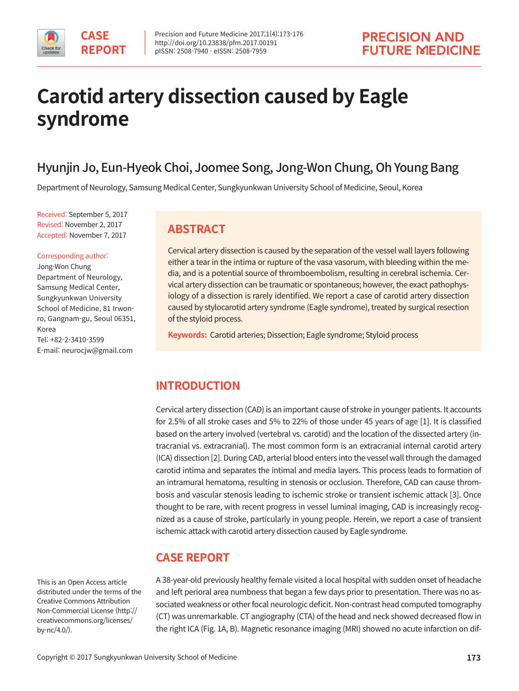

# **Carotid artery dissection caused by Eagle syndrome**

# Hyunjin Jo, Eun-Hyeok Choi, Joomee Song, Jong-Won Chung, Oh Young Bang

Department of Neurology, Samsung Medical Center, Sungkyunkwan University School of Medicine, Seoul, Korea

Received: September 5, 2017 Revised: November 2, 2017 Accepted: November 7, 2017

#### Corresponding author:

Jong-Won Chung Department of Neurology, Samsung Medical Center, Sungkyunkwan University School of Medicine, 81 Irwonro, Gangnam-gu, Seoul 06351, Korea Tel: +82-2-3410-3599 E-mail: neurocjw@gmail.com

## **ABSTRACT**

Cervical artery dissection is caused by the separation of the vessel wall layers following either a tear in the intima or rupture of the vasa vasorum, with bleeding within the media, and is a potential source of thromboembolism, resulting in cerebral ischemia. Cervical artery dissection can be traumatic or spontaneous; however, the exact pathophysiology of a dissection is rarely identified. We report a case of carotid artery dissection caused by stylocarotid artery syndrome (Eagle syndrome), treated by surgical resection of the styloid process.

**Keywords:** Carotid arteries; Dissection; Eagle syndrome; Styloid process

# **INTRODUCTION**

Cervical artery dissection (CAD) is an important cause of stroke in younger patients. It accounts for 2.5% of all stroke cases and 5% to 22% of those under 45 years of age [1]. It is classified based on the artery involved (vertebral vs. carotid) and the location of the dissected artery (intracranial vs. extracranial). The most common form is an extracranial internal carotid artery (ICA) dissection [2]. During CAD, arterial blood enters into the vessel wall through the damaged carotid intima and separates the intimal and media layers. This process leads to formation of an intramural hematoma, resulting in stenosis or occlusion. Therefore, CAD can cause thrombosis and vascular stenosis leading to ischemic stroke or transient ischemic attack [3]. Once thought to be rare, with recent progress in vessel luminal imaging, CAD is increasingly recognized as a cause of stroke, particularly in young people. Herein, we report a case of transient ischemic attack with carotid artery dissection caused by Eagle syndrome.

# **CASE REPORT**

This is an Open Access article distributed under the terms of the Creative Commons Attribution Non-Commercial License (http:// creativecommons.org/licenses/ by-nc/4.0/).

A 38-year-old previously healthy female visited a local hospital with sudden onset of headache and left perioral area numbness that began a few days prior to presentation. There was no associated weakness or other focal neurologic deficit. Non-contrast head computed tomography (CT) was unremarkable. CT angiography (CTA) of the head and neck showed decreased flow in the right ICA (Fig. 1A, B). Magnetic resonance imaging (MRI) showed no acute infarction on dif-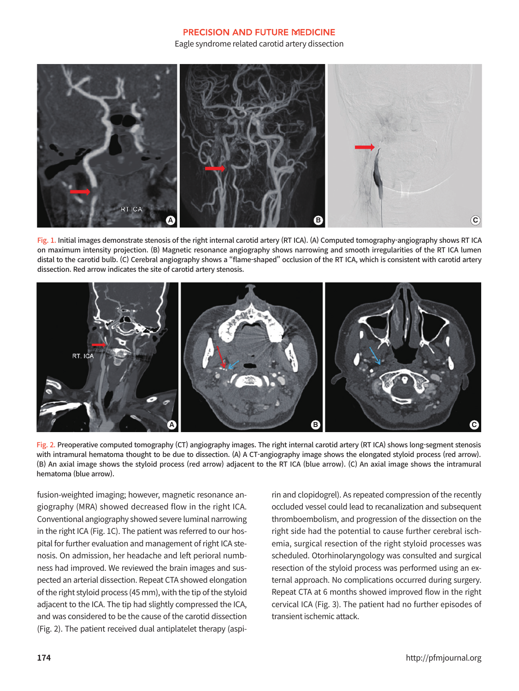#### **PRECISION AND FUTURE MEDICINE**

Eagle syndrome related carotid artery dissection



Fig. 1. Initial images demonstrate stenosis of the right internal carotid artery (RT ICA). (A) Computed tomography-angiography shows RT ICA on maximum intensity projection. (B) Magnetic resonance angiography shows narrowing and smooth irregularities of the RT ICA lumen distal to the carotid bulb. (C) Cerebral angiography shows a "flame-shaped" occlusion of the RT ICA, which is consistent with carotid artery dissection. Red arrow indicates the site of carotid artery stenosis.



Fig. 2. Preoperative computed tomography (CT) angiography images. The right internal carotid artery (RT ICA) shows long-segment stenosis with intramural hematoma thought to be due to dissection. (A) A CT-angiography image shows the elongated styloid process (red arrow). (B) An axial image shows the styloid process (red arrow) adjacent to the RT ICA (blue arrow). (C) An axial image shows the intramural hematoma (blue arrow).

fusion-weighted imaging; however, magnetic resonance angiography (MRA) showed decreased flow in the right ICA. Conventional angiography showed severe luminal narrowing in the right ICA (Fig. 1C). The patient was referred to our hospital for further evaluation and management of right ICA stenosis. On admission, her headache and left perioral numbness had improved. We reviewed the brain images and suspected an arterial dissection. Repeat CTA showed elongation of the right styloid process (45 mm), with the tip of the styloid adjacent to the ICA. The tip had slightly compressed the ICA, and was considered to be the cause of the carotid dissection (Fig. 2). The patient received dual antiplatelet therapy (aspirin and clopidogrel). As repeated compression of the recently occluded vessel could lead to recanalization and subsequent thromboembolism, and progression of the dissection on the right side had the potential to cause further cerebral ischemia, surgical resection of the right styloid processes was scheduled. Otorhinolaryngology was consulted and surgical resection of the styloid process was performed using an external approach. No complications occurred during surgery. Repeat CTA at 6 months showed improved flow in the right cervical ICA (Fig. 3). The patient had no further episodes of transient ischemic attack.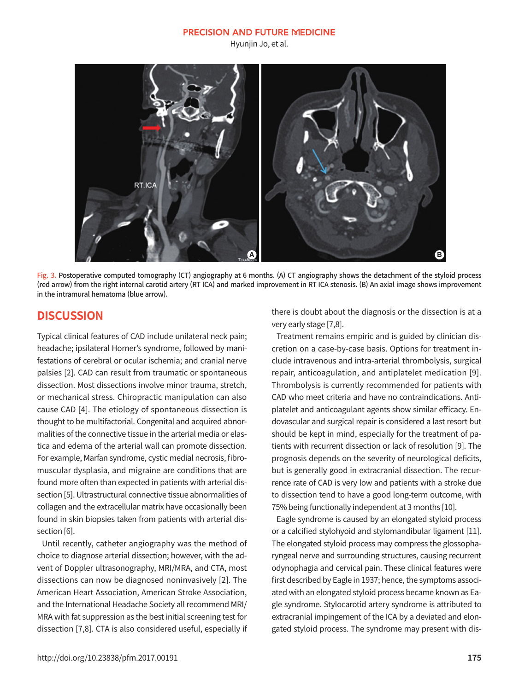#### **PRECISION AND FUTURE MEDICINE**

Hyunjin Jo, et al.



Fig. 3. Postoperative computed tomography (CT) angiography at 6 months. (A) CT angiography shows the detachment of the styloid process (red arrow) from the right internal carotid artery (RT ICA) and marked improvement in RT ICA stenosis. (B) An axial image shows improvement in the intramural hematoma (blue arrow).

### **DISCUSSION**

Typical clinical features of CAD include unilateral neck pain; headache; ipsilateral Horner's syndrome, followed by manifestations of cerebral or ocular ischemia; and cranial nerve palsies [2]. CAD can result from traumatic or spontaneous dissection. Most dissections involve minor trauma, stretch, or mechanical stress. Chiropractic manipulation can also cause CAD [4]. The etiology of spontaneous dissection is thought to be multifactorial. Congenital and acquired abnormalities of the connective tissue in the arterial media or elastica and edema of the arterial wall can promote dissection. For example, Marfan syndrome, cystic medial necrosis, fibromuscular dysplasia, and migraine are conditions that are found more often than expected in patients with arterial dissection [5]. Ultrastructural connective tissue abnormalities of collagen and the extracellular matrix have occasionally been found in skin biopsies taken from patients with arterial dissection [6].

Until recently, catheter angiography was the method of choice to diagnose arterial dissection; however, with the advent of Doppler ultrasonography, MRI/MRA, and CTA, most dissections can now be diagnosed noninvasively [2]. The American Heart Association, American Stroke Association, and the International Headache Society all recommend MRI/ MRA with fat suppression as the best initial screening test for dissection [7,8]. CTA is also considered useful, especially if there is doubt about the diagnosis or the dissection is at a very early stage [7,8].

Treatment remains empiric and is guided by clinician discretion on a case-by-case basis. Options for treatment include intravenous and intra-arterial thrombolysis, surgical repair, anticoagulation, and antiplatelet medication [9]. Thrombolysis is currently recommended for patients with CAD who meet criteria and have no contraindications. Antiplatelet and anticoagulant agents show similar efficacy. Endovascular and surgical repair is considered a last resort but should be kept in mind, especially for the treatment of patients with recurrent dissection or lack of resolution [9]. The prognosis depends on the severity of neurological deficits, but is generally good in extracranial dissection. The recurrence rate of CAD is very low and patients with a stroke due to dissection tend to have a good long-term outcome, with 75% being functionally independent at 3 months [10].

Eagle syndrome is caused by an elongated styloid process or a calcified stylohyoid and stylomandibular ligament [11]. The elongated styloid process may compress the glossopharyngeal nerve and surrounding structures, causing recurrent odynophagia and cervical pain. These clinical features were first described by Eagle in 1937; hence, the symptoms associated with an elongated styloid process became known as Eagle syndrome. Stylocarotid artery syndrome is attributed to extracranial impingement of the ICA by a deviated and elongated styloid process. The syndrome may present with dis-